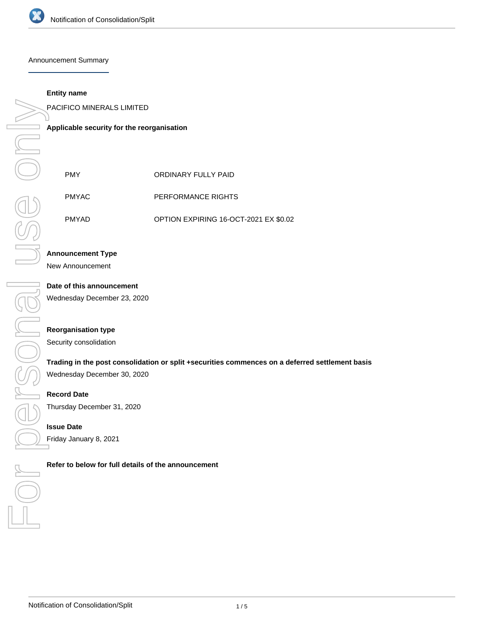

#### Announcement Summary

## **Entity name**

PACIFICO MINERALS LIMITED

**Applicable security for the reorganisation**

| <b>PMY</b>   | ORDINARY FULLY PAID                   |
|--------------|---------------------------------------|
| <b>PMYAC</b> | PERFORMANCE RIGHTS                    |
| <b>PMYAD</b> | OPTION EXPIRING 16-OCT-2021 EX \$0.02 |

# **Announcement Type**

New Announcement

# **Date of this announcement**

Wednesday December 23, 2020

## **Reorganisation type**

Security consolidation

# **Trading in the post consolidation or split +securities commences on a deferred settlement basis**

Wednesday December 30, 2020

# **Record Date**

Thursday December 31, 2020

#### **Issue Date**

Friday January 8, 2021

**PACIFICO MINERALS LIMITED**<br> **Applicable security for the reorganisation**<br>
PMY<br>
PMYAC PERFORMANCE RI<br>
PMYAD OPTION EXPIRING<br>
Announcement Type<br>
New Announcement<br>
Date of this announcement<br>
Wednesday December 23, 2020<br>
Reco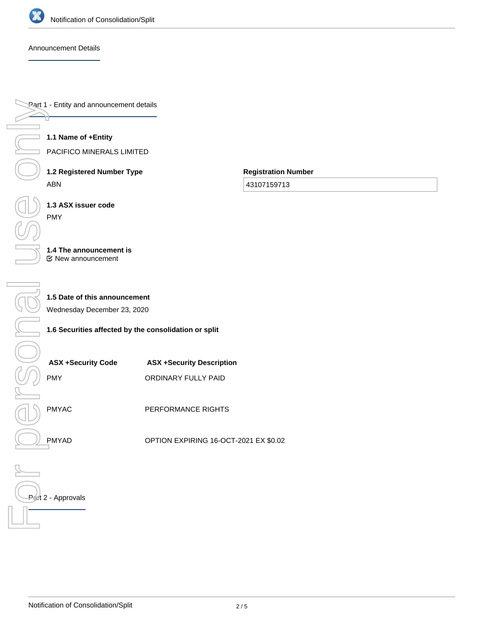

# Announcement Details

Part 1 - Entity and announcement details

**1.1 Name of +Entity**

PACIFICO MINERALS LIMITED

**1.2 Registered Number Type** ABN

**Registration Number**

43107159713

**1.3 ASX issuer code** PMY

#### **1.4 The announcement is** New announcement

**1.5 Date of this announcement**

Wednesday December 23, 2020

# **1.6 Securities affected by the consolidation or split**

| <b>ASX +Security Code</b><br><b>PMY</b> | <b>ASX +Security Description</b><br>ORDINARY FULLY PAID |
|-----------------------------------------|---------------------------------------------------------|
| <b>PMYAC</b>                            | PERFORMANCE RIGHTS                                      |
|                                         |                                                         |
| <b>PMYAD</b>                            | OPTION EXPIRING 16-OCT-2021 EX \$0.02                   |

# Part 2 - Approvals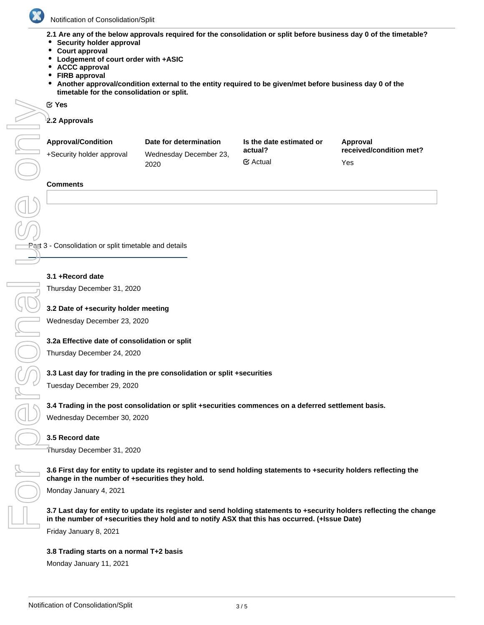

**2.1 Are any of the below approvals required for the consolidation or split before business day 0 of the timetable?**

- **•** Security holder approval
- **Court approval**
- **Lodgement of court order with +ASIC**
- **ACCC approval**
- **FIRB approval**
- **Another approval/condition external to the entity required to be given/met before business day 0 of the timetable for the consolidation or split.**

#### Yes

**2.2 Approvals**

| <b>Approval/Condition</b><br>+Security holder approval | Date for determination<br>Wednesday December 23,<br>2020 | Is the date estimated or<br>actual? | Approval<br>received/condition met? |
|--------------------------------------------------------|----------------------------------------------------------|-------------------------------------|-------------------------------------|
|                                                        |                                                          | $\mathfrak{C}$ Actual               | Yes                                 |

#### **Comments**

**Part 3 - Consolidation or split timetable and details** 

## **3.1 +Record date**

Thursday December 31, 2020

# **3.2 Date of +security holder meeting**

Wednesday December 23, 2020

# **3.2a Effective date of consolidation or split**

Thursday December 24, 2020

# **3.3 Last day for trading in the pre consolidation or split +securities**

Tuesday December 29, 2020

# **3.4 Trading in the post consolidation or split +securities commences on a deferred settlement basis.**

Wednesday December 30, 2020

#### **3.5 Record date**

Thursday December 31, 2020

#### **3.6 First day for entity to update its register and to send holding statements to +security holders reflecting the change in the number of +securities they hold.**

Monday January 4, 2021

**3.7 Last day for entity to update its register and send holding statements to +security holders reflecting the change in the number of +securities they hold and to notify ASX that this has occurred. (+Issue Date)**

Friday January 8, 2021

#### **3.8 Trading starts on a normal T+2 basis**

Monday January 11, 2021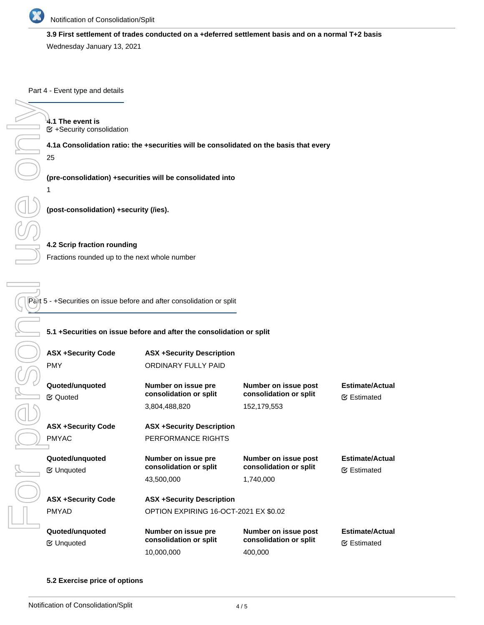

# **3.9 First settlement of trades conducted on a +deferred settlement basis and on a normal T+2 basis**

Wednesday January 13, 2021

Part 4 - Event type and details

### **5.1 +Securities on issue before and after the consolidation or split**

| 4.1 The event is<br><b>■ +Security consolidation</b>                  |                                                                                        |                                                |                                               |  |  |
|-----------------------------------------------------------------------|----------------------------------------------------------------------------------------|------------------------------------------------|-----------------------------------------------|--|--|
|                                                                       | 4.1a Consolidation ratio: the +securities will be consolidated on the basis that every |                                                |                                               |  |  |
| 25                                                                    |                                                                                        |                                                |                                               |  |  |
| 1                                                                     | (pre-consolidation) +securities will be consolidated into                              |                                                |                                               |  |  |
|                                                                       | (post-consolidation) +security (/ies).                                                 |                                                |                                               |  |  |
| 4.2 Scrip fraction rounding                                           |                                                                                        |                                                |                                               |  |  |
| Fractions rounded up to the next whole number                         |                                                                                        |                                                |                                               |  |  |
|                                                                       |                                                                                        |                                                |                                               |  |  |
|                                                                       |                                                                                        |                                                |                                               |  |  |
| Part 5 - +Securities on issue before and after consolidation or split |                                                                                        |                                                |                                               |  |  |
|                                                                       |                                                                                        |                                                |                                               |  |  |
|                                                                       | 5.1 +Securities on issue before and after the consolidation or split                   |                                                |                                               |  |  |
| <b>ASX +Security Code</b>                                             | <b>ASX +Security Description</b>                                                       |                                                |                                               |  |  |
| <b>PMY</b>                                                            | ORDINARY FULLY PAID                                                                    |                                                |                                               |  |  |
|                                                                       |                                                                                        |                                                |                                               |  |  |
| Quoted/unquoted                                                       | Number on issue pre<br>consolidation or split                                          | Number on issue post<br>consolidation or split | <b>Estimate/Actual</b>                        |  |  |
| <b></b> ∉ Quoted                                                      | 3,804,488,820                                                                          | 152,179,553                                    | <b></b> ∉ Estimated                           |  |  |
|                                                                       |                                                                                        |                                                |                                               |  |  |
| <b>ASX +Security Code</b>                                             | <b>ASX +Security Description</b>                                                       |                                                |                                               |  |  |
| <b>PMYAC</b>                                                          | PERFORMANCE RIGHTS                                                                     |                                                |                                               |  |  |
| Quoted/unquoted                                                       | Number on issue pre                                                                    | Number on issue post                           | <b>Estimate/Actual</b>                        |  |  |
| <b></b> ∉ Unquoted                                                    | consolidation or split                                                                 | consolidation or split                         | <b></b> ∉ Estimated                           |  |  |
|                                                                       | 43,500,000                                                                             | 1,740,000                                      |                                               |  |  |
| <b>ASX +Security Code</b>                                             | <b>ASX +Security Description</b>                                                       |                                                |                                               |  |  |
| PMYAD                                                                 | OPTION EXPIRING 16-OCT-2021 EX \$0.02                                                  |                                                |                                               |  |  |
|                                                                       |                                                                                        |                                                |                                               |  |  |
| Quoted/unquoted<br><b></b> ∉ Unquoted                                 | Number on issue pre<br>consolidation or split                                          | Number on issue post<br>consolidation or split | <b>Estimate/Actual</b><br><b></b> ∉ Estimated |  |  |
|                                                                       | 10,000,000                                                                             | 400,000                                        |                                               |  |  |

#### **5.2 Exercise price of options**